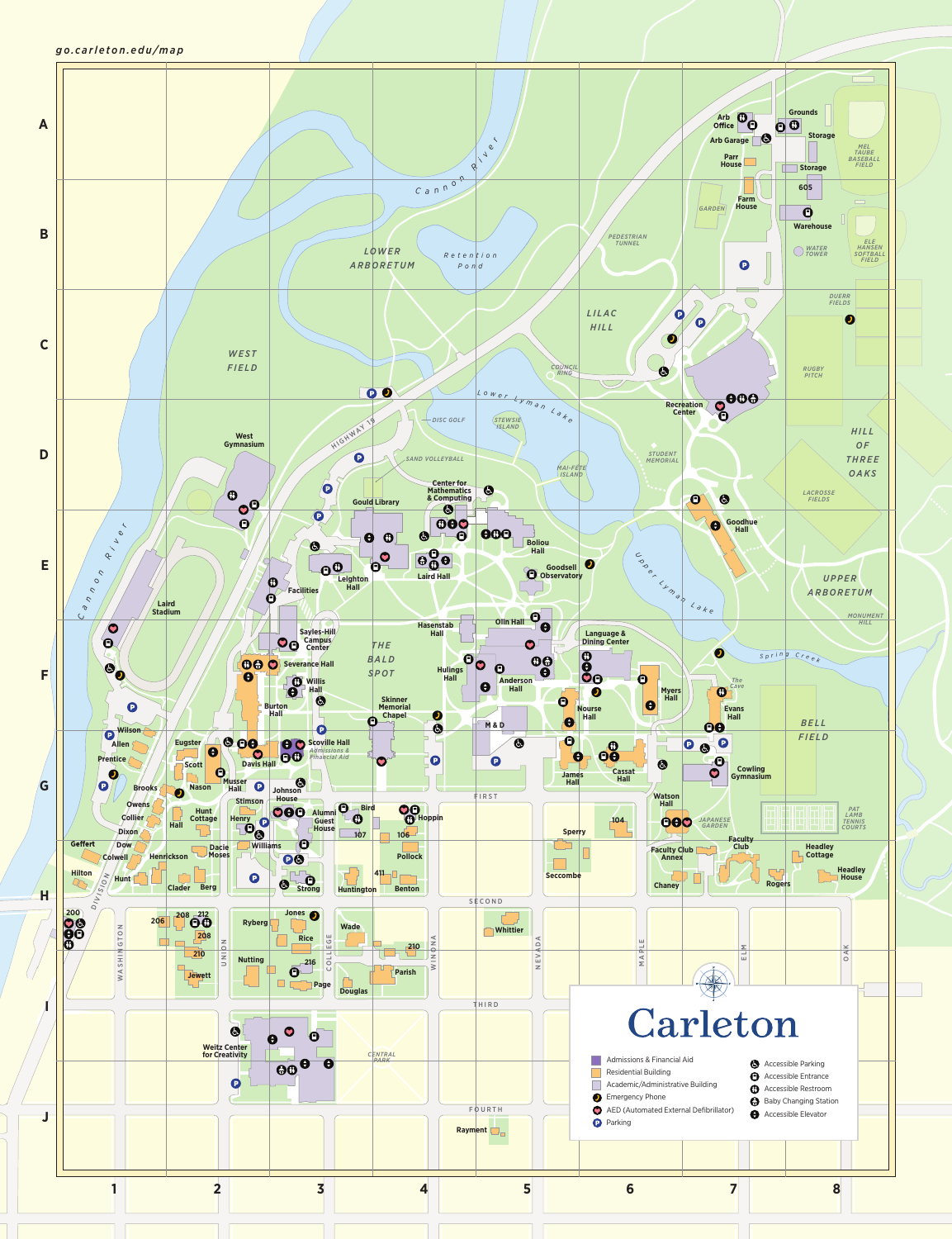